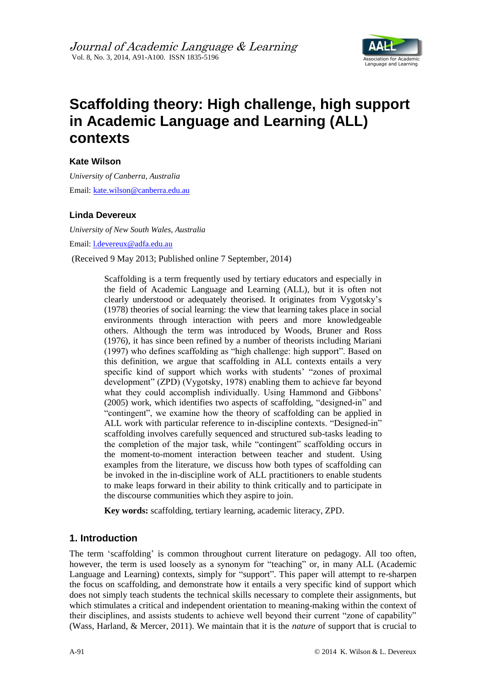

# **Scaffolding theory: High challenge, high support in Academic Language and Learning (ALL) contexts**

## **Kate Wilson**

*University of Canberra, Australia* Email: [kate.wilson@canberra.edu.au](mailto:kate.wilson@canberra.edu.au)

### **Linda Devereux**

*University of New South Wales, Australia* Email: [l.devereux@adfa.edu.au](mailto:l.devereux@adfa.edu.au)

(Received 9 May 2013; Published online 7 September, 2014)

Scaffolding is a term frequently used by tertiary educators and especially in the field of Academic Language and Learning (ALL), but it is often not clearly understood or adequately theorised. It originates from Vygotsky's (1978) theories of social learning: the view that learning takes place in social environments through interaction with peers and more knowledgeable others. Although the term was introduced by Woods, Bruner and Ross (1976), it has since been refined by a number of theorists including Mariani (1997) who defines scaffolding as "high challenge: high support". Based on this definition, we argue that scaffolding in ALL contexts entails a very specific kind of support which works with students' "zones of proximal development" (ZPD) (Vygotsky, 1978) enabling them to achieve far beyond what they could accomplish individually. Using Hammond and Gibbons' (2005) work, which identifies two aspects of scaffolding, "designed-in" and "contingent", we examine how the theory of scaffolding can be applied in ALL work with particular reference to in-discipline contexts. "Designed-in" scaffolding involves carefully sequenced and structured sub-tasks leading to the completion of the major task, while "contingent" scaffolding occurs in the moment-to-moment interaction between teacher and student. Using examples from the literature, we discuss how both types of scaffolding can be invoked in the in-discipline work of ALL practitioners to enable students to make leaps forward in their ability to think critically and to participate in the discourse communities which they aspire to join.

**Key words:** scaffolding, tertiary learning, academic literacy, ZPD.

# **1. Introduction**

The term 'scaffolding' is common throughout current literature on pedagogy. All too often, however, the term is used loosely as a synonym for "teaching" or, in many ALL (Academic Language and Learning) contexts, simply for "support". This paper will attempt to re-sharpen the focus on scaffolding, and demonstrate how it entails a very specific kind of support which does not simply teach students the technical skills necessary to complete their assignments, but which stimulates a critical and independent orientation to meaning-making within the context of their disciplines, and assists students to achieve well beyond their current "zone of capability" (Wass, Harland, & Mercer, 2011). We maintain that it is the *nature* of support that is crucial to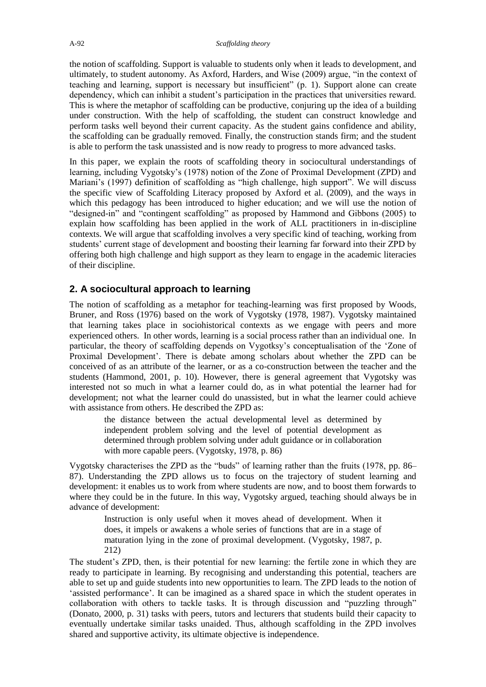the notion of scaffolding. Support is valuable to students only when it leads to development, and ultimately, to student autonomy. As Axford, Harders, and Wise (2009) argue, "in the context of teaching and learning, support is necessary but insufficient" (p. 1). Support alone can create dependency, which can inhibit a student's participation in the practices that universities reward. This is where the metaphor of scaffolding can be productive, conjuring up the idea of a building under construction. With the help of scaffolding, the student can construct knowledge and perform tasks well beyond their current capacity. As the student gains confidence and ability, the scaffolding can be gradually removed. Finally, the construction stands firm; and the student is able to perform the task unassisted and is now ready to progress to more advanced tasks.

In this paper, we explain the roots of scaffolding theory in sociocultural understandings of learning, including Vygotsky's (1978) notion of the Zone of Proximal Development (ZPD) and Mariani's (1997) definition of scaffolding as "high challenge, high support". We will discuss the specific view of Scaffolding Literacy proposed by Axford et al. (2009), and the ways in which this pedagogy has been introduced to higher education; and we will use the notion of "designed-in" and "contingent scaffolding" as proposed by Hammond and Gibbons (2005) to explain how scaffolding has been applied in the work of ALL practitioners in in-discipline contexts. We will argue that scaffolding involves a very specific kind of teaching, working from students' current stage of development and boosting their learning far forward into their ZPD by offering both high challenge and high support as they learn to engage in the academic literacies of their discipline.

# **2. A sociocultural approach to learning**

The notion of scaffolding as a metaphor for teaching-learning was first proposed by Woods, Bruner, and Ross (1976) based on the work of Vygotsky (1978, 1987). Vygotsky maintained that learning takes place in sociohistorical contexts as we engage with peers and more experienced others. In other words, learning is a social process rather than an individual one. In particular, the theory of scaffolding depends on Vygotksy's conceptualisation of the 'Zone of Proximal Development'. There is debate among scholars about whether the ZPD can be conceived of as an attribute of the learner, or as a co-construction between the teacher and the students (Hammond, 2001, p. 10). However, there is general agreement that Vygotsky was interested not so much in what a learner could do, as in what potential the learner had for development; not what the learner could do unassisted, but in what the learner could achieve with assistance from others. He described the ZPD as:

the distance between the actual developmental level as determined by independent problem solving and the level of potential development as determined through problem solving under adult guidance or in collaboration with more capable peers. (Vygotsky, 1978, p. 86)

Vygotsky characterises the ZPD as the "buds" of learning rather than the fruits (1978, pp. 86– 87). Understanding the ZPD allows us to focus on the trajectory of student learning and development: it enables us to work from where students are now, and to boost them forwards to where they could be in the future. In this way, Vygotsky argued, teaching should always be in advance of development:

Instruction is only useful when it moves ahead of development. When it does, it impels or awakens a whole series of functions that are in a stage of maturation lying in the zone of proximal development. (Vygotsky, 1987, p. 212)

The student's ZPD, then, is their potential for new learning: the fertile zone in which they are ready to participate in learning. By recognising and understanding this potential, teachers are able to set up and guide students into new opportunities to learn. The ZPD leads to the notion of 'assisted performance'. It can be imagined as a shared space in which the student operates in collaboration with others to tackle tasks. It is through discussion and "puzzling through" (Donato, 2000, p. 31) tasks with peers, tutors and lecturers that students build their capacity to eventually undertake similar tasks unaided. Thus, although scaffolding in the ZPD involves shared and supportive activity, its ultimate objective is independence.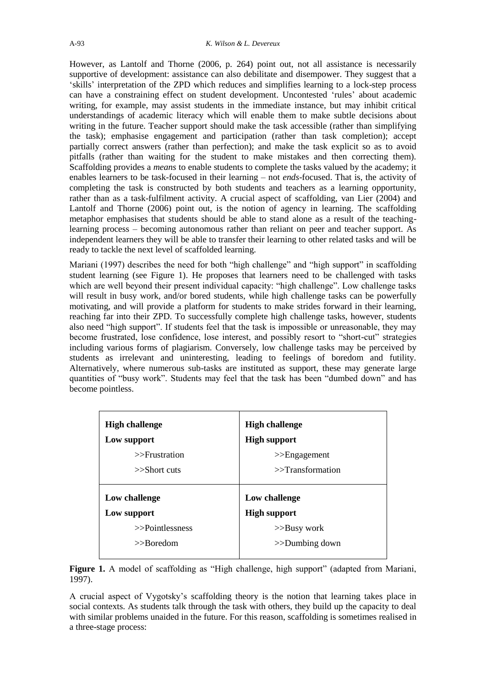However, as Lantolf and Thorne (2006, p. 264) point out, not all assistance is necessarily supportive of development: assistance can also debilitate and disempower. They suggest that a 'skills' interpretation of the ZPD which reduces and simplifies learning to a lock-step process can have a constraining effect on student development. Uncontested 'rules' about academic writing, for example, may assist students in the immediate instance, but may inhibit critical understandings of academic literacy which will enable them to make subtle decisions about writing in the future. Teacher support should make the task accessible (rather than simplifying the task); emphasise engagement and participation (rather than task completion); accept partially correct answers (rather than perfection); and make the task explicit so as to avoid pitfalls (rather than waiting for the student to make mistakes and then correcting them). Scaffolding provides a *means* to enable students to complete the tasks valued by the academy; it enables learners to be task-focused in their learning – not *ends*-focused. That is, the activity of completing the task is constructed by both students and teachers as a learning opportunity, rather than as a task-fulfilment activity. A crucial aspect of scaffolding, van Lier (2004) and Lantolf and Thorne (2006) point out, is the notion of agency in learning. The scaffolding metaphor emphasises that students should be able to stand alone as a result of the teachinglearning process – becoming autonomous rather than reliant on peer and teacher support. As independent learners they will be able to transfer their learning to other related tasks and will be ready to tackle the next level of scaffolded learning.

Mariani (1997) describes the need for both "high challenge" and "high support" in scaffolding student learning (see Figure 1). He proposes that learners need to be challenged with tasks which are well beyond their present individual capacity: "high challenge". Low challenge tasks will result in busy work, and/or bored students, while high challenge tasks can be powerfully motivating, and will provide a platform for students to make strides forward in their learning, reaching far into their ZPD. To successfully complete high challenge tasks, however, students also need "high support". If students feel that the task is impossible or unreasonable, they may become frustrated, lose confidence, lose interest, and possibly resort to "short-cut" strategies including various forms of plagiarism. Conversely, low challenge tasks may be perceived by students as irrelevant and uninteresting, leading to feelings of boredom and futility. Alternatively, where numerous sub-tasks are instituted as support, these may generate large quantities of "busy work". Students may feel that the task has been "dumbed down" and has become pointless.

| <b>High challenge</b><br>Low support<br>$>>$ Frustration<br>$>>$ Short cuts | <b>High challenge</b><br><b>High support</b><br>$>>$ Engagement<br>$>>$ Transformation |
|-----------------------------------------------------------------------------|----------------------------------------------------------------------------------------|
|                                                                             |                                                                                        |
| Low challenge                                                               | Low challenge                                                                          |
| Low support                                                                 | <b>High support</b>                                                                    |
| $>>$ Pointlessness                                                          | $>>$ Busy work                                                                         |

Figure 1. A model of scaffolding as "High challenge, high support" (adapted from Mariani, 1997).

A crucial aspect of Vygotsky's scaffolding theory is the notion that learning takes place in social contexts. As students talk through the task with others, they build up the capacity to deal with similar problems unaided in the future. For this reason, scaffolding is sometimes realised in a three-stage process: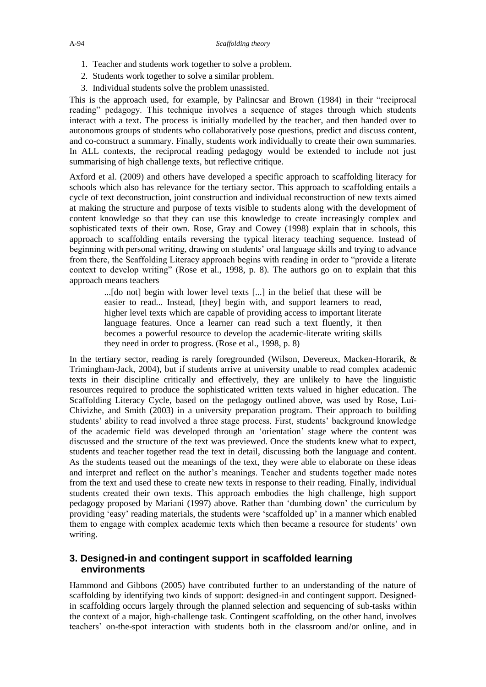- 1. Teacher and students work together to solve a problem.
- 2. Students work together to solve a similar problem.
- 3. Individual students solve the problem unassisted.

This is the approach used, for example, by Palincsar and Brown (1984) in their "reciprocal reading" pedagogy. This technique involves a sequence of stages through which students interact with a text. The process is initially modelled by the teacher, and then handed over to autonomous groups of students who collaboratively pose questions, predict and discuss content, and co-construct a summary. Finally, students work individually to create their own summaries. In ALL contexts, the reciprocal reading pedagogy would be extended to include not just summarising of high challenge texts, but reflective critique.

Axford et al. (2009) and others have developed a specific approach to scaffolding literacy for schools which also has relevance for the tertiary sector. This approach to scaffolding entails a cycle of text deconstruction, joint construction and individual reconstruction of new texts aimed at making the structure and purpose of texts visible to students along with the development of content knowledge so that they can use this knowledge to create increasingly complex and sophisticated texts of their own. Rose, Gray and Cowey (1998) explain that in schools, this approach to scaffolding entails reversing the typical literacy teaching sequence. Instead of beginning with personal writing, drawing on students' oral language skills and trying to advance from there, the Scaffolding Literacy approach begins with reading in order to "provide a literate context to develop writing" (Rose et al., 1998, p. 8). The authors go on to explain that this approach means teachers

...[do not] begin with lower level texts [...] in the belief that these will be easier to read... Instead, [they] begin with, and support learners to read, higher level texts which are capable of providing access to important literate language features. Once a learner can read such a text fluently, it then becomes a powerful resource to develop the academic-literate writing skills they need in order to progress. (Rose et al., 1998, p. 8)

In the tertiary sector, reading is rarely foregrounded (Wilson, Devereux, Macken-Horarik, & Trimingham-Jack, 2004), but if students arrive at university unable to read complex academic texts in their discipline critically and effectively, they are unlikely to have the linguistic resources required to produce the sophisticated written texts valued in higher education. The Scaffolding Literacy Cycle, based on the pedagogy outlined above, was used by Rose, Lui-Chivizhe, and Smith (2003) in a university preparation program. Their approach to building students' ability to read involved a three stage process. First, students' background knowledge of the academic field was developed through an 'orientation' stage where the content was discussed and the structure of the text was previewed. Once the students knew what to expect, students and teacher together read the text in detail, discussing both the language and content. As the students teased out the meanings of the text, they were able to elaborate on these ideas and interpret and reflect on the author's meanings. Teacher and students together made notes from the text and used these to create new texts in response to their reading. Finally, individual students created their own texts. This approach embodies the high challenge, high support pedagogy proposed by Mariani (1997) above. Rather than 'dumbing down' the curriculum by providing 'easy' reading materials, the students were 'scaffolded up' in a manner which enabled them to engage with complex academic texts which then became a resource for students' own writing.

# **3. Designed-in and contingent support in scaffolded learning environments**

Hammond and Gibbons (2005) have contributed further to an understanding of the nature of scaffolding by identifying two kinds of support: designed-in and contingent support. Designedin scaffolding occurs largely through the planned selection and sequencing of sub-tasks within the context of a major, high-challenge task. Contingent scaffolding, on the other hand, involves teachers' on-the-spot interaction with students both in the classroom and/or online, and in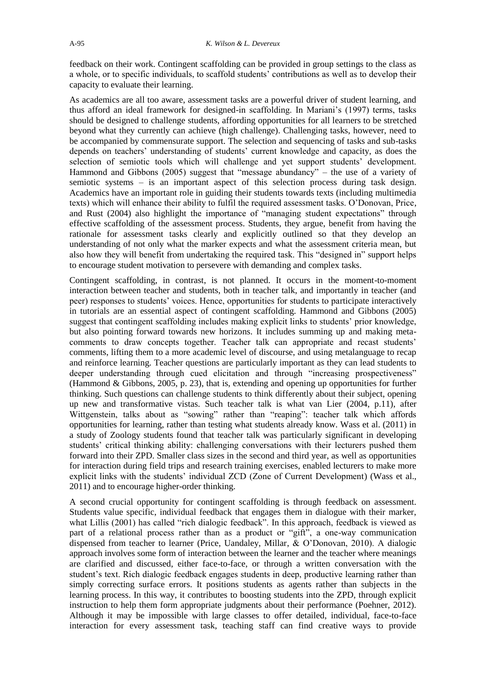feedback on their work. Contingent scaffolding can be provided in group settings to the class as a whole, or to specific individuals, to scaffold students' contributions as well as to develop their capacity to evaluate their learning.

As academics are all too aware, assessment tasks are a powerful driver of student learning, and thus afford an ideal framework for designed-in scaffolding. In Mariani's (1997) terms, tasks should be designed to challenge students, affording opportunities for all learners to be stretched beyond what they currently can achieve (high challenge). Challenging tasks, however, need to be accompanied by commensurate support. The selection and sequencing of tasks and sub-tasks depends on teachers' understanding of students' current knowledge and capacity, as does the selection of semiotic tools which will challenge and yet support students' development. Hammond and Gibbons (2005) suggest that "message abundancy" – the use of a variety of semiotic systems – is an important aspect of this selection process during task design. Academics have an important role in guiding their students towards texts (including multimedia texts) which will enhance their ability to fulfil the required assessment tasks. O'Donovan, Price, and Rust (2004) also highlight the importance of "managing student expectations" through effective scaffolding of the assessment process. Students, they argue, benefit from having the rationale for assessment tasks clearly and explicitly outlined so that they develop an understanding of not only what the marker expects and what the assessment criteria mean, but also how they will benefit from undertaking the required task. This "designed in" support helps to encourage student motivation to persevere with demanding and complex tasks.

Contingent scaffolding, in contrast, is not planned. It occurs in the moment-to-moment interaction between teacher and students, both in teacher talk, and importantly in teacher (and peer) responses to students' voices. Hence, opportunities for students to participate interactively in tutorials are an essential aspect of contingent scaffolding. Hammond and Gibbons (2005) suggest that contingent scaffolding includes making explicit links to students' prior knowledge, but also pointing forward towards new horizons. It includes summing up and making metacomments to draw concepts together. Teacher talk can appropriate and recast students' comments, lifting them to a more academic level of discourse, and using metalanguage to recap and reinforce learning. Teacher questions are particularly important as they can lead students to deeper understanding through cued elicitation and through "increasing prospectiveness" (Hammond & Gibbons, 2005, p. 23), that is, extending and opening up opportunities for further thinking. Such questions can challenge students to think differently about their subject, opening up new and transformative vistas. Such teacher talk is what van Lier (2004, p.11), after Wittgenstein, talks about as "sowing" rather than "reaping": teacher talk which affords opportunities for learning, rather than testing what students already know. Wass et al. (2011) in a study of Zoology students found that teacher talk was particularly significant in developing students' critical thinking ability: challenging conversations with their lecturers pushed them forward into their ZPD. Smaller class sizes in the second and third year, as well as opportunities for interaction during field trips and research training exercises, enabled lecturers to make more explicit links with the students' individual ZCD (Zone of Current Development) (Wass et al., 2011) and to encourage higher-order thinking.

A second crucial opportunity for contingent scaffolding is through feedback on assessment. Students value specific, individual feedback that engages them in dialogue with their marker, what Lillis (2001) has called "rich dialogic feedback". In this approach, feedback is viewed as part of a relational process rather than as a product or "gift", a one-way communication dispensed from teacher to learner (Price, Uandaley, Millar, & O'Donovan, 2010). A dialogic approach involves some form of interaction between the learner and the teacher where meanings are clarified and discussed, either face-to-face, or through a written conversation with the student's text. Rich dialogic feedback engages students in deep, productive learning rather than simply correcting surface errors. It positions students as agents rather than subjects in the learning process. In this way, it contributes to boosting students into the ZPD, through explicit instruction to help them form appropriate judgments about their performance (Poehner, 2012). Although it may be impossible with large classes to offer detailed, individual, face-to-face interaction for every assessment task, teaching staff can find creative ways to provide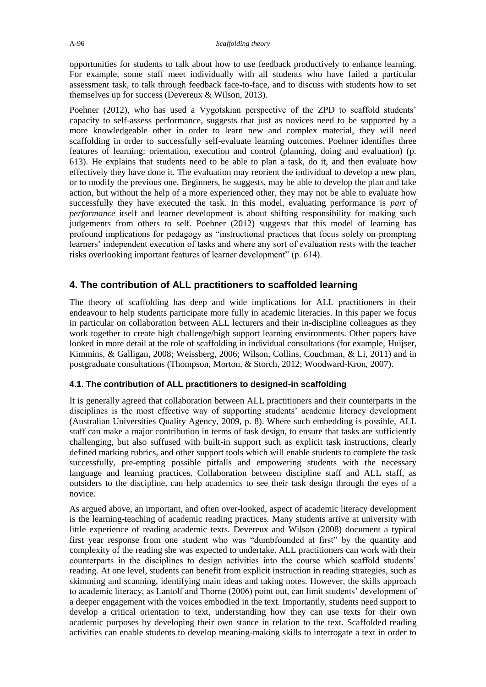opportunities for students to talk about how to use feedback productively to enhance learning. For example, some staff meet individually with all students who have failed a particular assessment task, to talk through feedback face-to-face, and to discuss with students how to set themselves up for success (Devereux & Wilson, 2013).

Poehner (2012), who has used a Vygotskian perspective of the ZPD to scaffold students' capacity to self-assess performance, suggests that just as novices need to be supported by a more knowledgeable other in order to learn new and complex material, they will need scaffolding in order to successfully self-evaluate learning outcomes. Poehner identifies three features of learning: orientation, execution and control (planning, doing and evaluation) (p. 613). He explains that students need to be able to plan a task, do it, and then evaluate how effectively they have done it. The evaluation may reorient the individual to develop a new plan, or to modify the previous one. Beginners, he suggests, may be able to develop the plan and take action, but without the help of a more experienced other, they may not be able to evaluate how successfully they have executed the task. In this model, evaluating performance is *part of performance* itself and learner development is about shifting responsibility for making such judgements from others to self. Poehner (2012) suggests that this model of learning has profound implications for pedagogy as "instructional practices that focus solely on prompting learners' independent execution of tasks and where any sort of evaluation rests with the teacher risks overlooking important features of learner development" (p. 614).

# **4. The contribution of ALL practitioners to scaffolded learning**

The theory of scaffolding has deep and wide implications for ALL practitioners in their endeavour to help students participate more fully in academic literacies. In this paper we focus in particular on collaboration between ALL lecturers and their in-discipline colleagues as they work together to create high challenge/high support learning environments. Other papers have looked in more detail at the role of scaffolding in individual consultations (for example, Huijser, Kimmins, & Galligan, 2008; Weissberg, 2006; Wilson, Collins, Couchman, & Li, 2011) and in postgraduate consultations (Thompson, Morton, & Storch, 2012; Woodward-Kron, 2007).

#### **4.1. The contribution of ALL practitioners to designed-in scaffolding**

It is generally agreed that collaboration between ALL practitioners and their counterparts in the disciplines is the most effective way of supporting students' academic literacy development (Australian Universities Quality Agency, 2009, p. 8). Where such embedding is possible, ALL staff can make a major contribution in terms of task design, to ensure that tasks are sufficiently challenging, but also suffused with built-in support such as explicit task instructions, clearly defined marking rubrics, and other support tools which will enable students to complete the task successfully, pre-empting possible pitfalls and empowering students with the necessary language and learning practices. Collaboration between discipline staff and ALL staff, as outsiders to the discipline, can help academics to see their task design through the eyes of a novice.

As argued above, an important, and often over-looked, aspect of academic literacy development is the learning-teaching of academic reading practices. Many students arrive at university with little experience of reading academic texts. Devereux and Wilson (2008) document a typical first year response from one student who was "dumbfounded at first" by the quantity and complexity of the reading she was expected to undertake. ALL practitioners can work with their counterparts in the disciplines to design activities into the course which scaffold students' reading. At one level, students can benefit from explicit instruction in reading strategies, such as skimming and scanning, identifying main ideas and taking notes. However, the skills approach to academic literacy, as Lantolf and Thorne (2006) point out, can limit students' development of a deeper engagement with the voices embodied in the text. Importantly, students need support to develop a critical orientation to text, understanding how they can use texts for their own academic purposes by developing their own stance in relation to the text. Scaffolded reading activities can enable students to develop meaning-making skills to interrogate a text in order to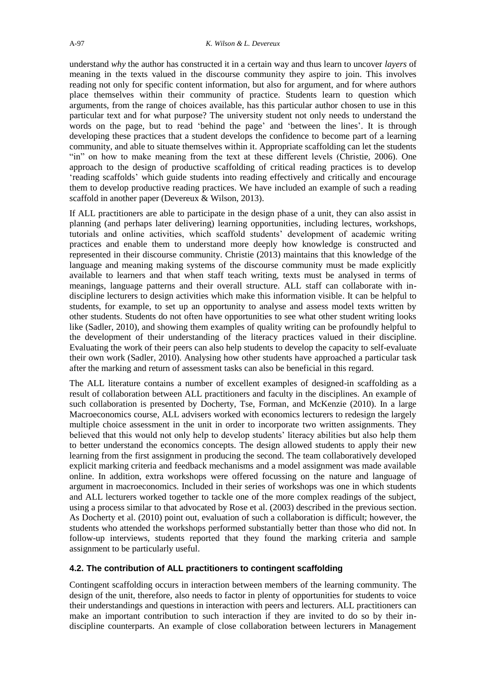understand *why* the author has constructed it in a certain way and thus learn to uncover *layers* of meaning in the texts valued in the discourse community they aspire to join. This involves reading not only for specific content information, but also for argument, and for where authors place themselves within their community of practice. Students learn to question which arguments, from the range of choices available, has this particular author chosen to use in this particular text and for what purpose? The university student not only needs to understand the words on the page, but to read 'behind the page' and 'between the lines'. It is through developing these practices that a student develops the confidence to become part of a learning community, and able to situate themselves within it. Appropriate scaffolding can let the students "in" on how to make meaning from the text at these different levels (Christie, 2006). One approach to the design of productive scaffolding of critical reading practices is to develop 'reading scaffolds' which guide students into reading effectively and critically and encourage them to develop productive reading practices. We have included an example of such a reading scaffold in another paper (Devereux & Wilson, 2013).

If ALL practitioners are able to participate in the design phase of a unit, they can also assist in planning (and perhaps later delivering) learning opportunities, including lectures, workshops, tutorials and online activities, which scaffold students' development of academic writing practices and enable them to understand more deeply how knowledge is constructed and represented in their discourse community. Christie (2013) maintains that this knowledge of the language and meaning making systems of the discourse community must be made explicitly available to learners and that when staff teach writing, texts must be analysed in terms of meanings, language patterns and their overall structure. ALL staff can collaborate with indiscipline lecturers to design activities which make this information visible. It can be helpful to students, for example, to set up an opportunity to analyse and assess model texts written by other students. Students do not often have opportunities to see what other student writing looks like (Sadler, 2010), and showing them examples of quality writing can be profoundly helpful to the development of their understanding of the literacy practices valued in their discipline. Evaluating the work of their peers can also help students to develop the capacity to self-evaluate their own work (Sadler, 2010). Analysing how other students have approached a particular task after the marking and return of assessment tasks can also be beneficial in this regard.

The ALL literature contains a number of excellent examples of designed-in scaffolding as a result of collaboration between ALL practitioners and faculty in the disciplines. An example of such collaboration is presented by Docherty, Tse, Forman, and McKenzie (2010). In a large Macroeconomics course, ALL advisers worked with economics lecturers to redesign the largely multiple choice assessment in the unit in order to incorporate two written assignments. They believed that this would not only help to develop students' literacy abilities but also help them to better understand the economics concepts. The design allowed students to apply their new learning from the first assignment in producing the second. The team collaboratively developed explicit marking criteria and feedback mechanisms and a model assignment was made available online. In addition, extra workshops were offered focussing on the nature and language of argument in macroeconomics. Included in their series of workshops was one in which students and ALL lecturers worked together to tackle one of the more complex readings of the subject, using a process similar to that advocated by Rose et al. (2003) described in the previous section. As Docherty et al. (2010) point out, evaluation of such a collaboration is difficult; however, the students who attended the workshops performed substantially better than those who did not. In follow-up interviews, students reported that they found the marking criteria and sample assignment to be particularly useful.

#### **4.2. The contribution of ALL practitioners to contingent scaffolding**

Contingent scaffolding occurs in interaction between members of the learning community. The design of the unit, therefore, also needs to factor in plenty of opportunities for students to voice their understandings and questions in interaction with peers and lecturers. ALL practitioners can make an important contribution to such interaction if they are invited to do so by their indiscipline counterparts. An example of close collaboration between lecturers in Management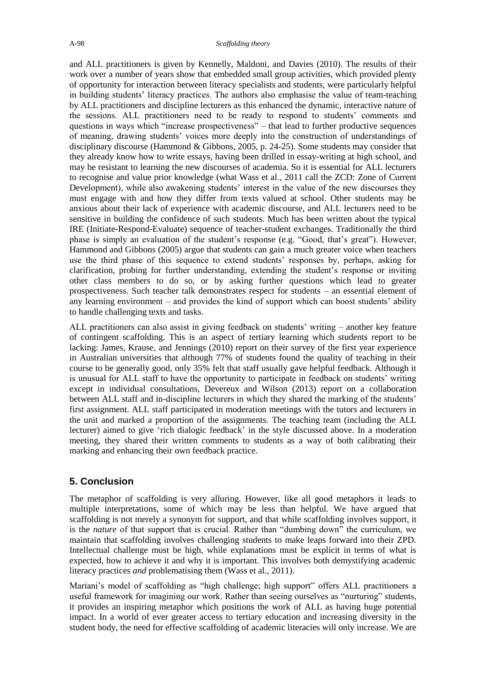and ALL practitioners is given by Kennelly, Maldoni, and Davies (2010). The results of their work over a number of years show that embedded small group activities, which provided plenty of opportunity for interaction between literacy specialists and students, were particularly helpful in building students' literacy practices. The authors also emphasise the value of team-teaching by ALL practitioners and discipline lecturers as this enhanced the dynamic, interactive nature of the sessions. ALL practitioners need to be ready to respond to students' comments and questions in ways which "increase prospectiveness" – that lead to further productive sequences of meaning, drawing students' voices more deeply into the construction of understandings of disciplinary discourse (Hammond & Gibbons, 2005, p. 24-25). Some students may consider that they already know how to write essays, having been drilled in essay-writing at high school, and may be resistant to learning the new discourses of academia. So it is essential for ALL lecturers to recognise and value prior knowledge (what Wass et al., 2011 call the ZCD: Zone of Current Development), while also awakening students' interest in the value of the new discourses they must engage with and how they differ from texts valued at school. Other students may be anxious about their lack of experience with academic discourse, and ALL lecturers need to be sensitive in building the confidence of such students. Much has been written about the typical IRE (Initiate-Respond-Evaluate) sequence of teacher-student exchanges. Traditionally the third phase is simply an evaluation of the student's response (e.g. "Good, that's great"). However, Hammond and Gibbons (2005) argue that students can gain a much greater voice when teachers use the third phase of this sequence to extend students' responses by, perhaps, asking for clarification, probing for further understanding, extending the student's response or inviting other class members to do so, or by asking further questions which lead to greater prospectiveness. Such teacher talk demonstrates respect for students – an essential element of any learning environment – and provides the kind of support which can boost students' ability to handle challenging texts and tasks.

ALL practitioners can also assist in giving feedback on students' writing – another key feature of contingent scaffolding. This is an aspect of tertiary learning which students report to be lacking: James, Krause, and Jennings (2010) report on their survey of the first year experience in Australian universities that although 77% of students found the quality of teaching in their course to be generally good, only 35% felt that staff usually gave helpful feedback. Although it is unusual for ALL staff to have the opportunity to participate in feedback on students' writing except in individual consultations, Devereux and Wilson (2013) report on a collaboration between ALL staff and in-discipline lecturers in which they shared the marking of the students' first assignment. ALL staff participated in moderation meetings with the tutors and lecturers in the unit and marked a proportion of the assignments. The teaching team (including the ALL lecturer) aimed to give 'rich dialogic feedback' in the style discussed above. In a moderation meeting, they shared their written comments to students as a way of both calibrating their marking and enhancing their own feedback practice.

### **5. Conclusion**

The metaphor of scaffolding is very alluring. However, like all good metaphors it leads to multiple interpretations, some of which may be less than helpful. We have argued that scaffolding is not merely a synonym for support, and that while scaffolding involves support, it is the *nature* of that support that is crucial. Rather than "dumbing down" the curriculum, we maintain that scaffolding involves challenging students to make leaps forward into their ZPD. Intellectual challenge must be high, while explanations must be explicit in terms of what is expected, how to achieve it and why it is important. This involves both demystifying academic literacy practices *and* problematising them (Wass et al., 2011).

Mariani's model of scaffolding as "high challenge; high support" offers ALL practitioners a useful framework for imagining our work. Rather than seeing ourselves as "nurturing" students, it provides an inspiring metaphor which positions the work of ALL as having huge potential impact. In a world of ever greater access to tertiary education and increasing diversity in the student body, the need for effective scaffolding of academic literacies will only increase. We are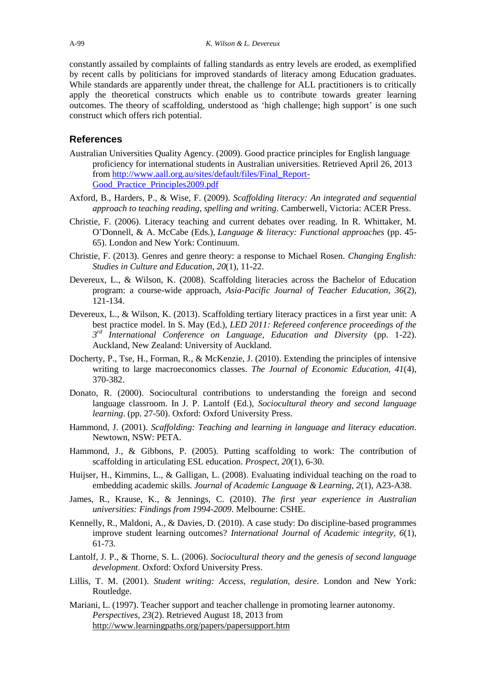constantly assailed by complaints of falling standards as entry levels are eroded, as exemplified by recent calls by politicians for improved standards of literacy among Education graduates. While standards are apparently under threat, the challenge for ALL practitioners is to critically apply the theoretical constructs which enable us to contribute towards greater learning outcomes. The theory of scaffolding, understood as 'high challenge; high support' is one such construct which offers rich potential.

#### **References**

- Australian Universities Quality Agency. (2009). Good practice principles for English language proficiency for international students in Australian universities. Retrieved April 26, 2013 from [http://www.aall.org.au/sites/default/files/Final\\_Report-](http://www.aall.org.au/sites/default/files/Final_Report-Good_Practice_Principles2009.pdf)[Good\\_Practice\\_Principles2009.pdf](http://www.aall.org.au/sites/default/files/Final_Report-Good_Practice_Principles2009.pdf)
- Axford, B., Harders, P., & Wise, F. (2009). *Scaffolding literacy: An integrated and sequential approach to teaching reading, spelling and writing*. Camberwell, Victoria: ACER Press.
- Christie, F. (2006). Literacy teaching and current debates over reading. In R. Whittaker, M. O'Donnell, & A. McCabe (Eds.), *Language & literacy: Functional approaches* (pp. 45- 65). London and New York: Continuum.
- Christie, F. (2013). Genres and genre theory: a response to Michael Rosen. *Changing English: Studies in Culture and Education*, *20*(1), 11-22.
- Devereux, L., & Wilson, K. (2008). Scaffolding literacies across the Bachelor of Education program: a course-wide approach, *Asia-Pacific Journal of Teacher Education, 36*(2), 121-134.
- Devereux, L., & Wilson, K. (2013). Scaffolding tertiary literacy practices in a first year unit: A best practice model. In S. May (Ed.), *LED 2011: Refereed conference proceedings of the 3 rd International Conference on Language, Education and Diversity* (pp. 1-22). Auckland, New Zealand: University of Auckland.
- Docherty, P., Tse, H., Forman, R., & McKenzie, J. (2010). Extending the principles of intensive writing to large macroeconomics classes. *The Journal of Economic Education, 41*(4), 370-382.
- Donato, R. (2000). Sociocultural contributions to understanding the foreign and second language classroom. In J. P. Lantolf (Ed.), *Sociocultural theory and second language learning*. (pp. 27-50). Oxford: Oxford University Press.
- Hammond, J. (2001). *Scaffolding: Teaching and learning in language and literacy education*. Newtown, NSW: PETA.
- Hammond, J., & Gibbons, P. (2005). Putting scaffolding to work: The contribution of scaffolding in articulating ESL education. *Prospect, 20*(1), 6-30.
- Huijser, H., Kimmins, L., & Galligan, L. (2008). Evaluating individual teaching on the road to embedding academic skills. *Journal of Academic Language & Learning, 2*(1), A23-A38.
- James, R., Krause, K., & Jennings, C. (2010). *The first year experience in Australian universities: Findings from 1994-2009*. Melbourne: CSHE.
- Kennelly, R., Maldoni, A., & Davies, D. (2010). A case study: Do discipline-based programmes improve student learning outcomes? *International Journal of Academic integrity, 6*(1), 61-73.
- Lantolf, J. P., & Thorne, S. L. (2006). *Sociocultural theory and the genesis of second language development*. Oxford: Oxford University Press.
- Lillis, T. M. (2001). *Student writing: Access, regulation, desire*. London and New York: Routledge.
- Mariani, L. (1997). Teacher support and teacher challenge in promoting learner autonomy. *Perspectives, 23*(2). Retrieved August 18, 2013 from <http://www.learningpaths.org/papers/papersupport.htm>